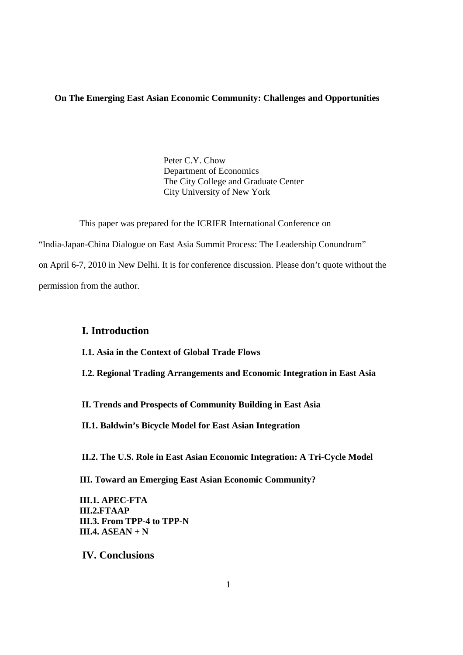# **On The Emerging East Asian Economic Community: Challenges and Opportunities**

Peter C.Y. Chow Department of Economics The City College and Graduate Center City University of New York

This paper was prepared for the ICRIER International Conference on "India-Japan-China Dialogue on East Asia Summit Process: The Leadership Conundrum" on April 6-7, 2010 in New Delhi. It is for conference discussion. Please don't quote without the permission from the author.

# **I. Introduction**

**I.1. Asia in the Context of Global Trade Flows** 

**I.2. Regional Trading Arrangements and Economic Integration in East Asia** 

**II. Trends and Prospects of Community Building in East Asia** 

**II.1. Baldwin's Bicycle Model for East Asian Integration** 

**II.2. The U.S. Role in East Asian Economic Integration: A Tri-Cycle Model** 

 **III. Toward an Emerging East Asian Economic Community?** 

 **III.1. APEC-FTA III.2.FTAAP III.3. From TPP-4 to TPP-N III.4. ASEAN + N**

 **IV. Conclusions**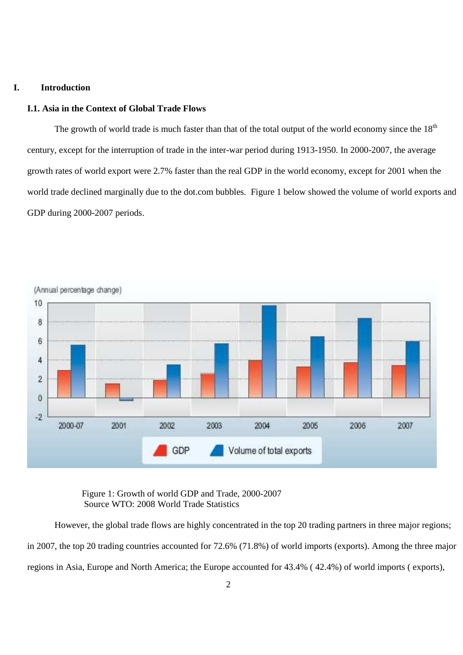## **I. Introduction**

# **I.1. Asia in the Context of Global Trade Flows**

The growth of world trade is much faster than that of the total output of the world economy since the  $18<sup>th</sup>$ century, except for the interruption of trade in the inter-war period during 1913-1950. In 2000-2007, the average growth rates of world export were 2.7% faster than the real GDP in the world economy, except for 2001 when the world trade declined marginally due to the dot.com bubbles. Figure 1 below showed the volume of world exports and GDP during 2000-2007 periods.



Figure 1: Growth of world GDP and Trade, 2000-2007 Source WTO: 2008 World Trade Statistics

However, the global trade flows are highly concentrated in the top 20 trading partners in three major regions; in 2007, the top 20 trading countries accounted for 72.6% (71.8%) of world imports (exports). Among the three major regions in Asia, Europe and North America; the Europe accounted for 43.4% ( 42.4%) of world imports ( exports),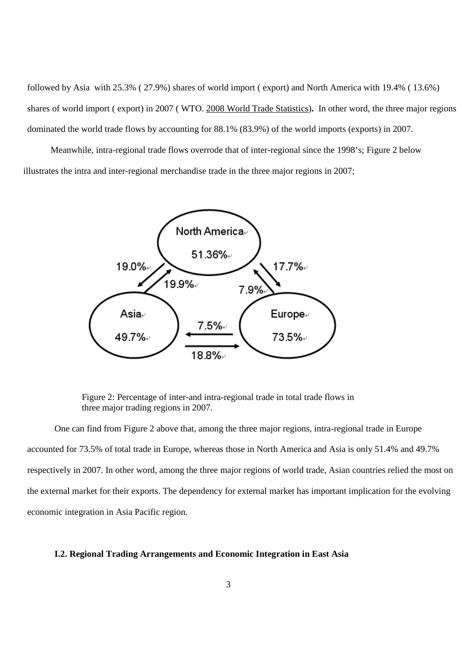followed by Asia with 25.3% ( 27.9%) shares of world import ( export) and North America with 19.4% ( 13.6%) shares of world import ( export) in 2007 ( WTO. 2008 World Trade Statistics)**.** In other word, the three major regions dominated the world trade flows by accounting for 88.1% (83.9%) of the world imports (exports) in 2007.

Meanwhile, intra-regional trade flows overrode that of inter-regional since the 1998's; Figure 2 below illustrates the intra and inter-regional merchandise trade in the three major regions in 2007;



Figure 2: Percentage of inter-and intra-regional trade in total trade flows in three major trading regions in 2007.

One can find from Figure 2 above that, among the three major regions, intra-regional trade in Europe accounted for 73.5% of total trade in Europe, whereas those in North America and Asia is only 51.4% and 49.7% respectively in 2007. In other word, among the three major regions of world trade, Asian countries relied the most on the external market for their exports. The dependency for external market has important implication for the evolving economic integration in Asia Pacific region.

#### **I.2. Regional Trading Arrangements and Economic Integration in East Asia**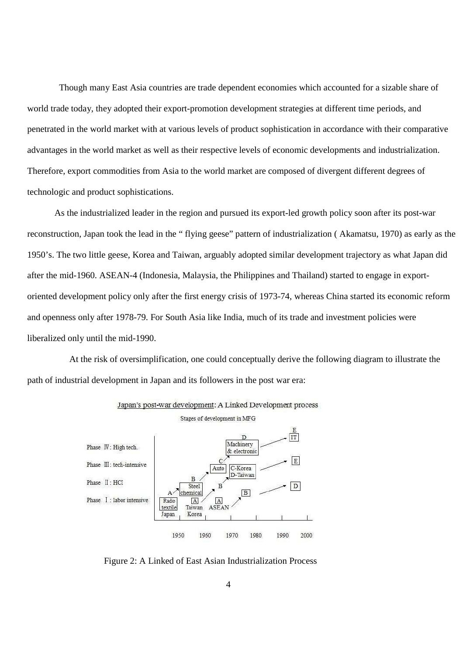Though many East Asia countries are trade dependent economies which accounted for a sizable share of world trade today, they adopted their export-promotion development strategies at different time periods, and penetrated in the world market with at various levels of product sophistication in accordance with their comparative advantages in the world market as well as their respective levels of economic developments and industrialization. Therefore, export commodities from Asia to the world market are composed of divergent different degrees of technologic and product sophistications.

As the industrialized leader in the region and pursued its export-led growth policy soon after its post-war reconstruction, Japan took the lead in the " flying geese" pattern of industrialization ( Akamatsu, 1970) as early as the 1950's. The two little geese, Korea and Taiwan, arguably adopted similar development trajectory as what Japan did after the mid-1960. ASEAN-4 (Indonesia, Malaysia, the Philippines and Thailand) started to engage in exportoriented development policy only after the first energy crisis of 1973-74, whereas China started its economic reform and openness only after 1978-79. For South Asia like India, much of its trade and investment policies were liberalized only until the mid-1990.

 At the risk of oversimplification, one could conceptually derive the following diagram to illustrate the path of industrial development in Japan and its followers in the post war era:





Figure 2: A Linked of East Asian Industrialization Process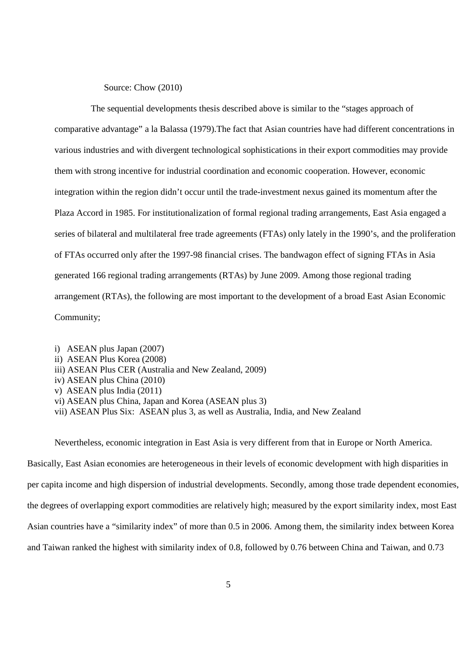Source: Chow (2010)

 The sequential developments thesis described above is similar to the "stages approach of comparative advantage" a la Balassa (1979).The fact that Asian countries have had different concentrations in various industries and with divergent technological sophistications in their export commodities may provide them with strong incentive for industrial coordination and economic cooperation. However, economic integration within the region didn't occur until the trade-investment nexus gained its momentum after the Plaza Accord in 1985. For institutionalization of formal regional trading arrangements, East Asia engaged a series of bilateral and multilateral free trade agreements (FTAs) only lately in the 1990's, and the proliferation of FTAs occurred only after the 1997-98 financial crises. The bandwagon effect of signing FTAs in Asia generated 166 regional trading arrangements (RTAs) by June 2009. Among those regional trading arrangement (RTAs), the following are most important to the development of a broad East Asian Economic Community;

i) ASEAN plus Japan (2007) ii) ASEAN Plus Korea (2008)

- iii) ASEAN Plus CER (Australia and New Zealand, 2009)
- iv) ASEAN plus China (2010)
- v) ASEAN plus India (2011)
- vi) ASEAN plus China, Japan and Korea (ASEAN plus 3)
- vii) ASEAN Plus Six: ASEAN plus 3, as well as Australia, India, and New Zealand

Nevertheless, economic integration in East Asia is very different from that in Europe or North America.

Basically, East Asian economies are heterogeneous in their levels of economic development with high disparities in per capita income and high dispersion of industrial developments. Secondly, among those trade dependent economies, the degrees of overlapping export commodities are relatively high; measured by the export similarity index, most East Asian countries have a "similarity index" of more than 0.5 in 2006. Among them, the similarity index between Korea and Taiwan ranked the highest with similarity index of 0.8, followed by 0.76 between China and Taiwan, and 0.73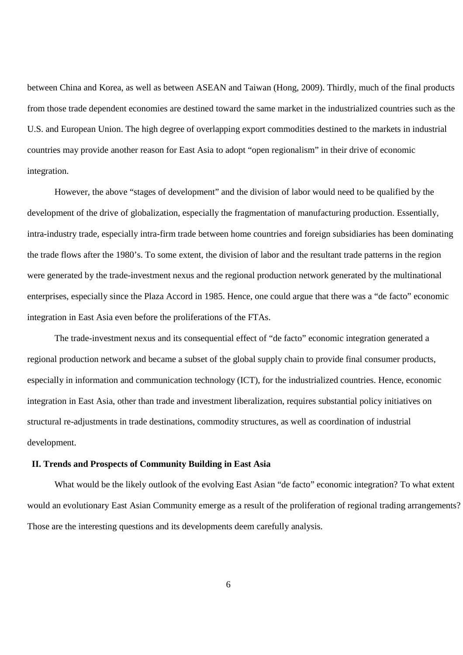between China and Korea, as well as between ASEAN and Taiwan (Hong, 2009). Thirdly, much of the final products from those trade dependent economies are destined toward the same market in the industrialized countries such as the U.S. and European Union. The high degree of overlapping export commodities destined to the markets in industrial countries may provide another reason for East Asia to adopt "open regionalism" in their drive of economic integration.

However, the above "stages of development" and the division of labor would need to be qualified by the development of the drive of globalization, especially the fragmentation of manufacturing production. Essentially, intra-industry trade, especially intra-firm trade between home countries and foreign subsidiaries has been dominating the trade flows after the 1980's. To some extent, the division of labor and the resultant trade patterns in the region were generated by the trade-investment nexus and the regional production network generated by the multinational enterprises, especially since the Plaza Accord in 1985. Hence, one could argue that there was a "de facto" economic integration in East Asia even before the proliferations of the FTAs.

The trade-investment nexus and its consequential effect of "de facto" economic integration generated a regional production network and became a subset of the global supply chain to provide final consumer products, especially in information and communication technology (ICT), for the industrialized countries. Hence, economic integration in East Asia, other than trade and investment liberalization, requires substantial policy initiatives on structural re-adjustments in trade destinations, commodity structures, as well as coordination of industrial development.

#### **II. Trends and Prospects of Community Building in East Asia**

What would be the likely outlook of the evolving East Asian "de facto" economic integration? To what extent would an evolutionary East Asian Community emerge as a result of the proliferation of regional trading arrangements? Those are the interesting questions and its developments deem carefully analysis.

6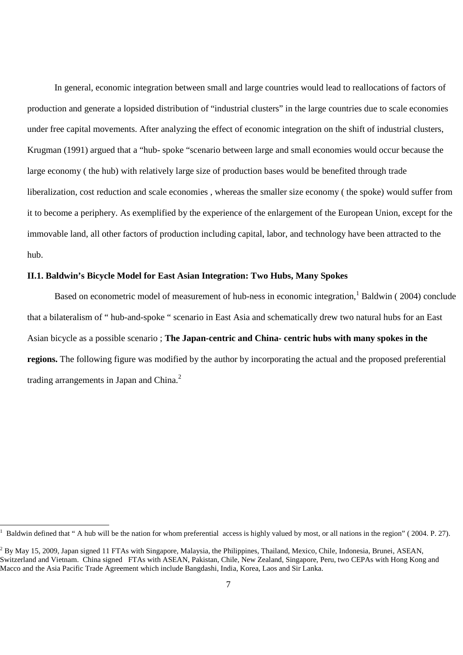In general, economic integration between small and large countries would lead to reallocations of factors of production and generate a lopsided distribution of "industrial clusters" in the large countries due to scale economies under free capital movements. After analyzing the effect of economic integration on the shift of industrial clusters, Krugman (1991) argued that a "hub- spoke "scenario between large and small economies would occur because the large economy ( the hub) with relatively large size of production bases would be benefited through trade liberalization, cost reduction and scale economies , whereas the smaller size economy ( the spoke) would suffer from it to become a periphery. As exemplified by the experience of the enlargement of the European Union, except for the immovable land, all other factors of production including capital, labor, and technology have been attracted to the hub.

# **II.1. Baldwin's Bicycle Model for East Asian Integration: Two Hubs, Many Spokes**

Based on econometric model of measurement of hub-ness in economic integration,<sup>1</sup> Baldwin (2004) conclude that a bilateralism of " hub-and-spoke " scenario in East Asia and schematically drew two natural hubs for an East Asian bicycle as a possible scenario ; **The Japan-centric and China- centric hubs with many spokes in the regions.** The following figure was modified by the author by incorporating the actual and the proposed preferential trading arrangements in Japan and China. $^2$ 

 $\overline{a}$ 1

Baldwin defined that " A hub will be the nation for whom preferential access is highly valued by most, or all nations in the region" ( 2004. P. 27).

 $^2$  By May 15, 2009, Japan signed 11 FTAs with Singapore, Malaysia, the Philippines, Thailand, Mexico, Chile, Indonesia, Brunei, ASEAN, Switzerland and Vietnam. China signed FTAs with ASEAN, Pakistan, Chile, New Zealand, Singapore, Peru, two CEPAs with Hong Kong and Macco and the Asia Pacific Trade Agreement which include Bangdashi, India, Korea, Laos and Sir Lanka.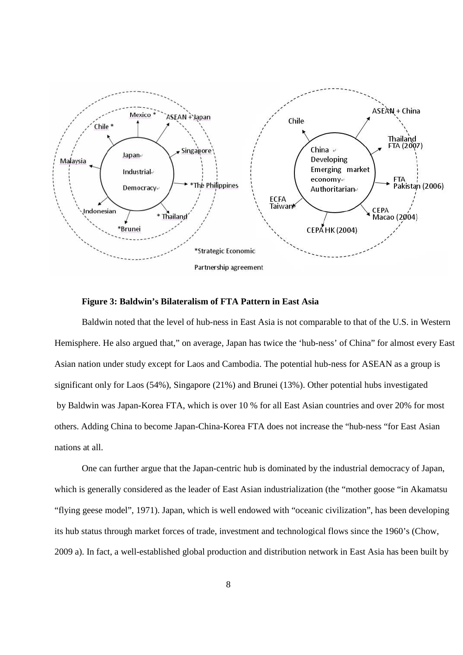

## **Figure 3: Baldwin's Bilateralism of FTA Pattern in East Asia**

Baldwin noted that the level of hub-ness in East Asia is not comparable to that of the U.S. in Western Hemisphere. He also argued that," on average, Japan has twice the 'hub-ness' of China" for almost every East Asian nation under study except for Laos and Cambodia. The potential hub-ness for ASEAN as a group is significant only for Laos (54%), Singapore (21%) and Brunei (13%). Other potential hubs investigated by Baldwin was Japan-Korea FTA, which is over 10 % for all East Asian countries and over 20% for most others. Adding China to become Japan-China-Korea FTA does not increase the "hub-ness "for East Asian nations at all.

One can further argue that the Japan-centric hub is dominated by the industrial democracy of Japan, which is generally considered as the leader of East Asian industrialization (the "mother goose "in Akamatsu "flying geese model", 1971). Japan, which is well endowed with "oceanic civilization", has been developing its hub status through market forces of trade, investment and technological flows since the 1960's (Chow, 2009 a). In fact, a well-established global production and distribution network in East Asia has been built by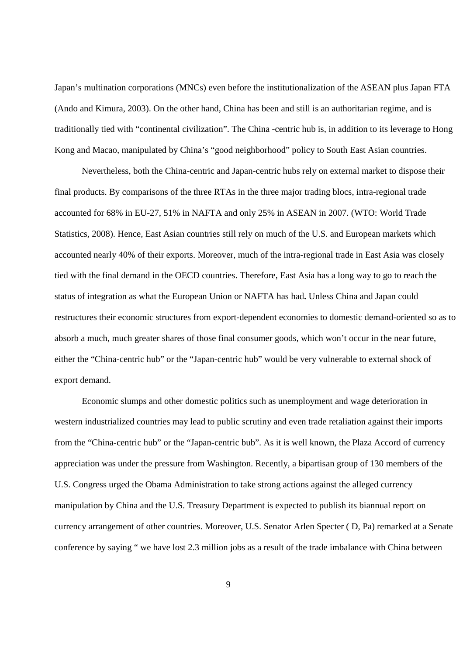Japan's multination corporations (MNCs) even before the institutionalization of the ASEAN plus Japan FTA (Ando and Kimura, 2003). On the other hand, China has been and still is an authoritarian regime, and is traditionally tied with "continental civilization". The China -centric hub is, in addition to its leverage to Hong Kong and Macao, manipulated by China's "good neighborhood" policy to South East Asian countries.

Nevertheless, both the China-centric and Japan-centric hubs rely on external market to dispose their final products. By comparisons of the three RTAs in the three major trading blocs, intra-regional trade accounted for 68% in EU-27, 51% in NAFTA and only 25% in ASEAN in 2007. (WTO: World Trade Statistics, 2008). Hence, East Asian countries still rely on much of the U.S. and European markets which accounted nearly 40% of their exports. Moreover, much of the intra-regional trade in East Asia was closely tied with the final demand in the OECD countries. Therefore, East Asia has a long way to go to reach the status of integration as what the European Union or NAFTA has had**.** Unless China and Japan could restructures their economic structures from export-dependent economies to domestic demand-oriented so as to absorb a much, much greater shares of those final consumer goods, which won't occur in the near future, either the "China-centric hub" or the "Japan-centric hub" would be very vulnerable to external shock of export demand.

Economic slumps and other domestic politics such as unemployment and wage deterioration in western industrialized countries may lead to public scrutiny and even trade retaliation against their imports from the "China-centric hub" or the "Japan-centric bub". As it is well known, the Plaza Accord of currency appreciation was under the pressure from Washington. Recently, a bipartisan group of 130 members of the U.S. Congress urged the Obama Administration to take strong actions against the alleged currency manipulation by China and the U.S. Treasury Department is expected to publish its biannual report on currency arrangement of other countries. Moreover, U.S. Senator Arlen Specter ( D, Pa) remarked at a Senate conference by saying " we have lost 2.3 million jobs as a result of the trade imbalance with China between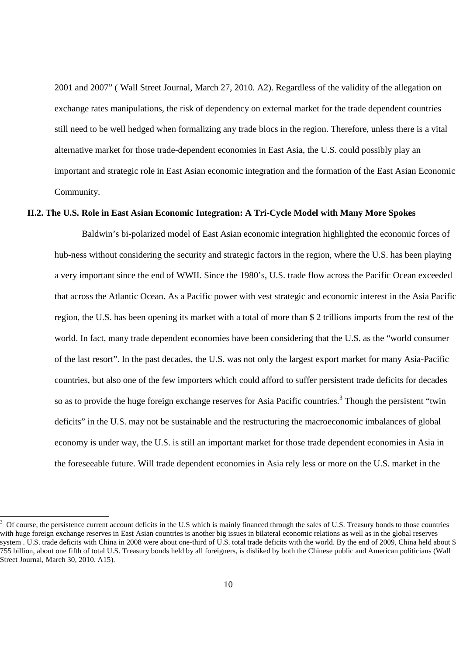2001 and 2007" ( Wall Street Journal, March 27, 2010. A2). Regardless of the validity of the allegation on exchange rates manipulations, the risk of dependency on external market for the trade dependent countries still need to be well hedged when formalizing any trade blocs in the region. Therefore, unless there is a vital alternative market for those trade-dependent economies in East Asia, the U.S. could possibly play an important and strategic role in East Asian economic integration and the formation of the East Asian Economic Community.

#### **II.2. The U.S. Role in East Asian Economic Integration: A Tri-Cycle Model with Many More Spokes**

Baldwin's bi-polarized model of East Asian economic integration highlighted the economic forces of hub-ness without considering the security and strategic factors in the region, where the U.S. has been playing a very important since the end of WWII. Since the 1980's, U.S. trade flow across the Pacific Ocean exceeded that across the Atlantic Ocean. As a Pacific power with vest strategic and economic interest in the Asia Pacific region, the U.S. has been opening its market with a total of more than \$ 2 trillions imports from the rest of the world. In fact, many trade dependent economies have been considering that the U.S. as the "world consumer of the last resort". In the past decades, the U.S. was not only the largest export market for many Asia-Pacific countries, but also one of the few importers which could afford to suffer persistent trade deficits for decades so as to provide the huge foreign exchange reserves for Asia Pacific countries.<sup>3</sup> Though the persistent "twin deficits" in the U.S. may not be sustainable and the restructuring the macroeconomic imbalances of global economy is under way, the U.S. is still an important market for those trade dependent economies in Asia in the foreseeable future. Will trade dependent economies in Asia rely less or more on the U.S. market in the

<sup>3</sup> Of course, the persistence current account deficits in the U.S which is mainly financed through the sales of U.S. Treasury bonds to those countries with huge foreign exchange reserves in East Asian countries is another big issues in bilateral economic relations as well as in the global reserves system . U.S. trade deficits with China in 2008 were about one-third of U.S. total trade deficits with the world. By the end of 2009, China held about \$ 755 billion, about one fifth of total U.S. Treasury bonds held by all foreigners, is disliked by both the Chinese public and American politicians (Wall Street Journal, March 30, 2010. A15).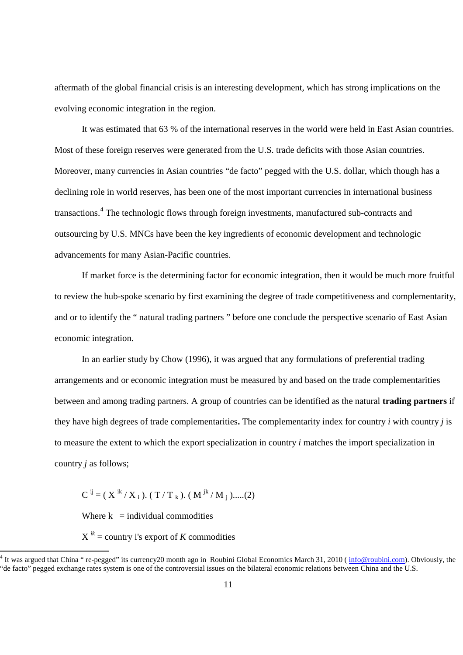aftermath of the global financial crisis is an interesting development, which has strong implications on the evolving economic integration in the region.

It was estimated that 63 % of the international reserves in the world were held in East Asian countries. Most of these foreign reserves were generated from the U.S. trade deficits with those Asian countries. Moreover, many currencies in Asian countries "de facto" pegged with the U.S. dollar, which though has a declining role in world reserves, has been one of the most important currencies in international business transactions.<sup>4</sup> The technologic flows through foreign investments, manufactured sub-contracts and outsourcing by U.S. MNCs have been the key ingredients of economic development and technologic advancements for many Asian-Pacific countries.

If market force is the determining factor for economic integration, then it would be much more fruitful to review the hub-spoke scenario by first examining the degree of trade competitiveness and complementarity, and or to identify the " natural trading partners " before one conclude the perspective scenario of East Asian economic integration.

In an earlier study by Chow (1996), it was argued that any formulations of preferential trading arrangements and or economic integration must be measured by and based on the trade complementarities between and among trading partners. A group of countries can be identified as the natural **trading partners** if they have high degrees of trade complementarities**.** The complementarity index for country *i* with country *j* is to measure the extent to which the export specialization in country *i* matches the import specialization in country *j* as follows;

 $C^{ij} = (X^{ik}/X_i) . (T/T_k) . (M^{jk}/M_j) .....(2)$ 

Where  $k =$  individual commodities

 $\overline{a}$ 

 $X^{ik}$  = country i's export of *K* commodities

<sup>&</sup>lt;sup>4</sup> It was argued that China " re-pegged" its currency20 month ago in Roubini Global Economics March 31, 2010 ( $\frac{info@roubin.com}{1}$ ). Obviously, the "de facto" pegged exchange rates system is one of the controversial issues on the bilateral economic relations between China and the U.S.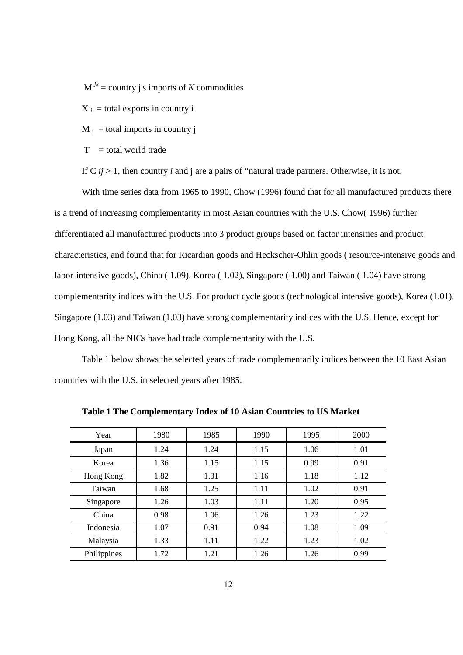$M^{jk}$  = country j's imports of *K* commodities

 $X_i$  = total exports in country i

 $M_j$  = total imports in country j

 $T =$  total world trade

If  $C$  *ij* > 1, then country *i* and *j* are a pairs of "natural trade partners. Otherwise, it is not.

With time series data from 1965 to 1990, Chow (1996) found that for all manufactured products there is a trend of increasing complementarity in most Asian countries with the U.S. Chow( 1996) further differentiated all manufactured products into 3 product groups based on factor intensities and product characteristics, and found that for Ricardian goods and Heckscher-Ohlin goods ( resource-intensive goods and labor-intensive goods), China ( 1.09), Korea ( 1.02), Singapore ( 1.00) and Taiwan ( 1.04) have strong complementarity indices with the U.S. For product cycle goods (technological intensive goods), Korea (1.01), Singapore (1.03) and Taiwan (1.03) have strong complementarity indices with the U.S. Hence, except for Hong Kong, all the NICs have had trade complementarity with the U.S.

Table 1 below shows the selected years of trade complementarily indices between the 10 East Asian countries with the U.S. in selected years after 1985.

| Year        | 1980 | 1985 | 1990 | 1995 | 2000 |
|-------------|------|------|------|------|------|
| Japan       | 1.24 | 1.24 | 1.15 | 1.06 | 1.01 |
| Korea       | 1.36 | 1.15 | 1.15 | 0.99 | 0.91 |
| Hong Kong   | 1.82 | 1.31 | 1.16 | 1.18 | 1.12 |
| Taiwan      | 1.68 | 1.25 | 1.11 | 1.02 | 0.91 |
| Singapore   | 1.26 | 1.03 | 1.11 | 1.20 | 0.95 |
| China       | 0.98 | 1.06 | 1.26 | 1.23 | 1.22 |
| Indonesia   | 1.07 | 0.91 | 0.94 | 1.08 | 1.09 |
| Malaysia    | 1.33 | 1.11 | 1.22 | 1.23 | 1.02 |
| Philippines | 1.72 | 1.21 | 1.26 | 1.26 | 0.99 |

**Table 1 The Complementary Index of 10 Asian Countries to US Market**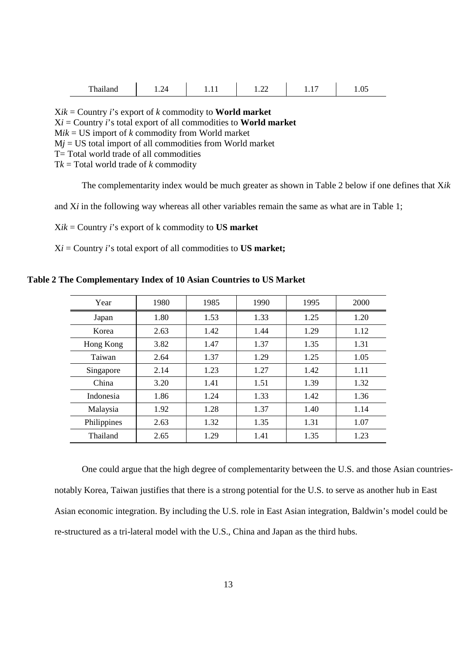| п.<br>r hailand<br>---------- | ∕ ∆<br>. | . | ^^<br>$\overline{1}$ , $\overline{2}$ | .<br>- - - | 1.v. |
|-------------------------------|----------|---|---------------------------------------|------------|------|
|-------------------------------|----------|---|---------------------------------------|------------|------|

X*ik* = Country *i*'s export of *k* commodity to **World market** X*i* = Country *i*'s total export of all commodities to **World market**  $Mik = US$  import of *k* commodity from World market  $Mi = US$  total import of all commodities from World market T= Total world trade of all commodities  $Tk = Total$  world trade of *k* commodity

The complementarity index would be much greater as shown in Table 2 below if one defines that X*ik*

and X*i* in the following way whereas all other variables remain the same as what are in Table 1;

X*ik* = Country *i*'s export of k commodity to **US market** 

 $Xi =$  Country *i*'s total export of all commodities to **US market;** 

| Year        | 1980 | 1985 | 1990 | 1995 | 2000 |
|-------------|------|------|------|------|------|
| Japan       | 1.80 | 1.53 | 1.33 | 1.25 | 1.20 |
| Korea       | 2.63 | 1.42 | 1.44 | 1.29 | 1.12 |
| Hong Kong   | 3.82 | 1.47 | 1.37 | 1.35 | 1.31 |
| Taiwan      | 2.64 | 1.37 | 1.29 | 1.25 | 1.05 |
| Singapore   | 2.14 | 1.23 | 1.27 | 1.42 | 1.11 |
| China       | 3.20 | 1.41 | 1.51 | 1.39 | 1.32 |
| Indonesia   | 1.86 | 1.24 | 1.33 | 1.42 | 1.36 |
| Malaysia    | 1.92 | 1.28 | 1.37 | 1.40 | 1.14 |
| Philippines | 2.63 | 1.32 | 1.35 | 1.31 | 1.07 |
| Thailand    | 2.65 | 1.29 | 1.41 | 1.35 | 1.23 |

One could argue that the high degree of complementarity between the U.S. and those Asian countriesnotably Korea, Taiwan justifies that there is a strong potential for the U.S. to serve as another hub in East Asian economic integration. By including the U.S. role in East Asian integration, Baldwin's model could be re-structured as a tri-lateral model with the U.S., China and Japan as the third hubs.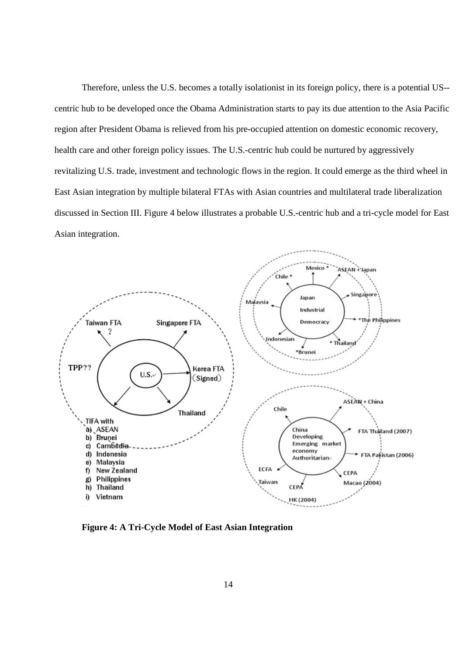Therefore, unless the U.S. becomes a totally isolationist in its foreign policy, there is a potential US- centric hub to be developed once the Obama Administration starts to pay its due attention to the Asia Pacific region after President Obama is relieved from his pre-occupied attention on domestic economic recovery, health care and other foreign policy issues. The U.S.-centric hub could be nurtured by aggressively revitalizing U.S. trade, investment and technologic flows in the region. It could emerge as the third wheel in East Asian integration by multiple bilateral FTAs with Asian countries and multilateral trade liberalization discussed in Section III. Figure 4 below illustrates a probable U.S.-centric hub and a tri-cycle model for East Asian integration.



**Figure 4: A Tri-Cycle Model of East Asian Integration**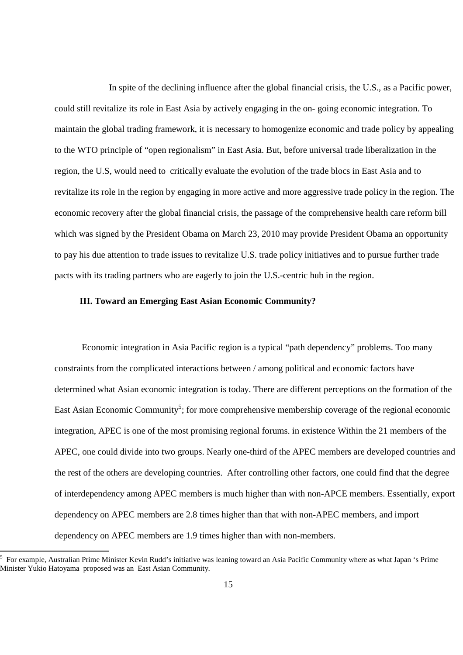In spite of the declining influence after the global financial crisis, the U.S., as a Pacific power, could still revitalize its role in East Asia by actively engaging in the on- going economic integration. To maintain the global trading framework, it is necessary to homogenize economic and trade policy by appealing to the WTO principle of "open regionalism" in East Asia. But, before universal trade liberalization in the region, the U.S, would need to critically evaluate the evolution of the trade blocs in East Asia and to revitalize its role in the region by engaging in more active and more aggressive trade policy in the region. The economic recovery after the global financial crisis, the passage of the comprehensive health care reform bill which was signed by the President Obama on March 23, 2010 may provide President Obama an opportunity to pay his due attention to trade issues to revitalize U.S. trade policy initiatives and to pursue further trade pacts with its trading partners who are eagerly to join the U.S.-centric hub in the region.

# **III. Toward an Emerging East Asian Economic Community?**

Economic integration in Asia Pacific region is a typical "path dependency" problems. Too many constraints from the complicated interactions between / among political and economic factors have determined what Asian economic integration is today. There are different perceptions on the formation of the East Asian Economic Community<sup>5</sup>; for more comprehensive membership coverage of the regional economic integration, APEC is one of the most promising regional forums. in existence Within the 21 members of the APEC, one could divide into two groups. Nearly one-third of the APEC members are developed countries and the rest of the others are developing countries. After controlling other factors, one could find that the degree of interdependency among APEC members is much higher than with non-APCE members. Essentially, export dependency on APEC members are 2.8 times higher than that with non-APEC members, and import dependency on APEC members are 1.9 times higher than with non-members.

 $\overline{a}$ 

<sup>5</sup> For example, Australian Prime Minister Kevin Rudd's initiative was leaning toward an Asia Pacific Community where as what Japan 's Prime Minister Yukio Hatoyama proposed was an East Asian Community.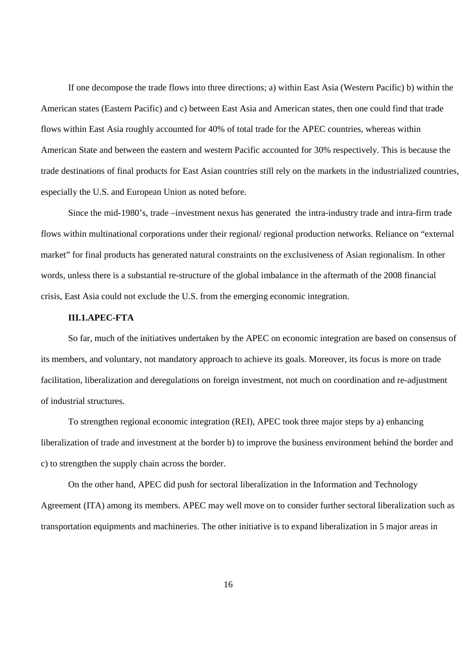If one decompose the trade flows into three directions; a) within East Asia (Western Pacific) b) within the American states (Eastern Pacific) and c) between East Asia and American states, then one could find that trade flows within East Asia roughly accounted for 40% of total trade for the APEC countries, whereas within American State and between the eastern and western Pacific accounted for 30% respectively. This is because the trade destinations of final products for East Asian countries still rely on the markets in the industrialized countries, especially the U.S. and European Union as noted before.

Since the mid-1980's, trade –investment nexus has generated the intra-industry trade and intra-firm trade flows within multinational corporations under their regional/ regional production networks. Reliance on "external market" for final products has generated natural constraints on the exclusiveness of Asian regionalism. In other words, unless there is a substantial re-structure of the global imbalance in the aftermath of the 2008 financial crisis, East Asia could not exclude the U.S. from the emerging economic integration.

# **III.1.APEC-FTA**

So far, much of the initiatives undertaken by the APEC on economic integration are based on consensus of its members, and voluntary, not mandatory approach to achieve its goals. Moreover, its focus is more on trade facilitation, liberalization and deregulations on foreign investment, not much on coordination and re-adjustment of industrial structures.

To strengthen regional economic integration (REI), APEC took three major steps by a) enhancing liberalization of trade and investment at the border b) to improve the business environment behind the border and c) to strengthen the supply chain across the border.

On the other hand, APEC did push for sectoral liberalization in the Information and Technology Agreement (ITA) among its members. APEC may well move on to consider further sectoral liberalization such as transportation equipments and machineries. The other initiative is to expand liberalization in 5 major areas in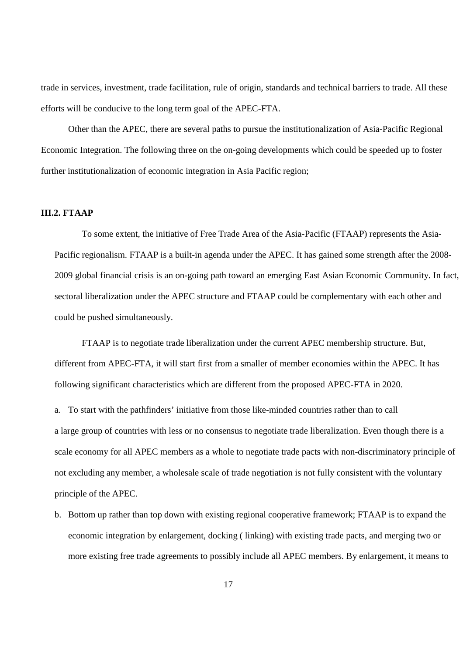trade in services, investment, trade facilitation, rule of origin, standards and technical barriers to trade. All these efforts will be conducive to the long term goal of the APEC-FTA.

Other than the APEC, there are several paths to pursue the institutionalization of Asia-Pacific Regional Economic Integration. The following three on the on-going developments which could be speeded up to foster further institutionalization of economic integration in Asia Pacific region;

# **III.2. FTAAP**

 To some extent, the initiative of Free Trade Area of the Asia-Pacific (FTAAP) represents the Asia-Pacific regionalism. FTAAP is a built-in agenda under the APEC. It has gained some strength after the 2008- 2009 global financial crisis is an on-going path toward an emerging East Asian Economic Community. In fact, sectoral liberalization under the APEC structure and FTAAP could be complementary with each other and could be pushed simultaneously.

 FTAAP is to negotiate trade liberalization under the current APEC membership structure. But, different from APEC-FTA, it will start first from a smaller of member economies within the APEC. It has following significant characteristics which are different from the proposed APEC-FTA in 2020. a. To start with the pathfinders' initiative from those like-minded countries rather than to call a large group of countries with less or no consensus to negotiate trade liberalization. Even though there is a scale economy for all APEC members as a whole to negotiate trade pacts with non-discriminatory principle of not excluding any member, a wholesale scale of trade negotiation is not fully consistent with the voluntary principle of the APEC.

b. Bottom up rather than top down with existing regional cooperative framework; FTAAP is to expand the economic integration by enlargement, docking ( linking) with existing trade pacts, and merging two or more existing free trade agreements to possibly include all APEC members. By enlargement, it means to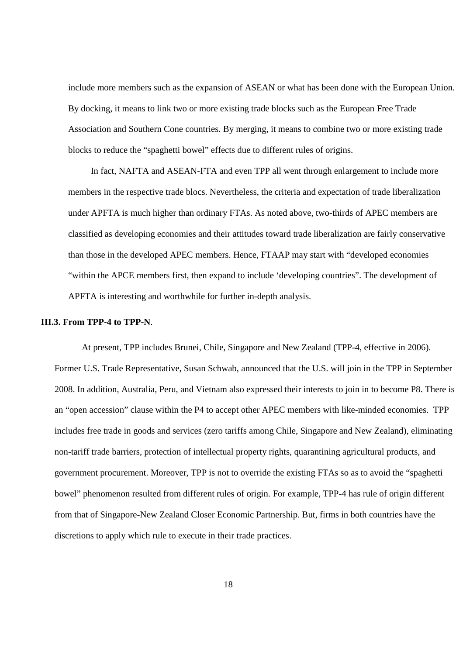include more members such as the expansion of ASEAN or what has been done with the European Union. By docking, it means to link two or more existing trade blocks such as the European Free Trade Association and Southern Cone countries. By merging, it means to combine two or more existing trade blocks to reduce the "spaghetti bowel" effects due to different rules of origins.

 In fact, NAFTA and ASEAN-FTA and even TPP all went through enlargement to include more members in the respective trade blocs. Nevertheless, the criteria and expectation of trade liberalization under APFTA is much higher than ordinary FTAs. As noted above, two-thirds of APEC members are classified as developing economies and their attitudes toward trade liberalization are fairly conservative than those in the developed APEC members. Hence, FTAAP may start with "developed economies "within the APCE members first, then expand to include 'developing countries". The development of APFTA is interesting and worthwhile for further in-depth analysis.

# **III.3. From TPP-4 to TPP-N**.

 At present, TPP includes Brunei, Chile, Singapore and New Zealand (TPP-4, effective in 2006). Former U.S. Trade Representative, Susan Schwab, announced that the U.S. will join in the TPP in September 2008. In addition, Australia, Peru, and Vietnam also expressed their interests to join in to become P8. There is an "open accession" clause within the P4 to accept other APEC members with like-minded economies. TPP includes free trade in goods and services (zero tariffs among Chile, Singapore and New Zealand), eliminating non-tariff trade barriers, protection of intellectual property rights, quarantining agricultural products, and government procurement. Moreover, TPP is not to override the existing FTAs so as to avoid the "spaghetti bowel" phenomenon resulted from different rules of origin. For example, TPP-4 has rule of origin different from that of Singapore-New Zealand Closer Economic Partnership. But, firms in both countries have the discretions to apply which rule to execute in their trade practices.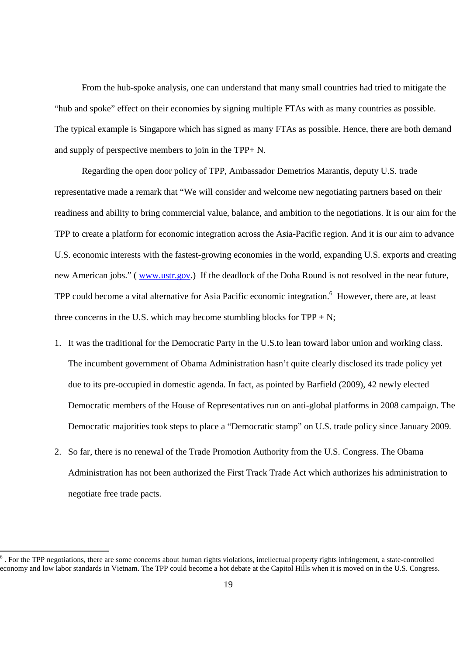From the hub-spoke analysis, one can understand that many small countries had tried to mitigate the "hub and spoke" effect on their economies by signing multiple FTAs with as many countries as possible. The typical example is Singapore which has signed as many FTAs as possible. Hence, there are both demand and supply of perspective members to join in the TPP+ N.

 Regarding the open door policy of TPP, Ambassador Demetrios Marantis, deputy U.S. trade representative made a remark that "We will consider and welcome new negotiating partners based on their readiness and ability to bring commercial value, balance, and ambition to the negotiations. It is our aim for the TPP to create a platform for economic integration across the Asia-Pacific region. And it is our aim to advance U.S. economic interests with the fastest-growing economies in the world, expanding U.S. exports and creating new American jobs." (www.ustr.gov.) If the deadlock of the Doha Round is not resolved in the near future, TPP could become a vital alternative for Asia Pacific economic integration.<sup>6</sup> However, there are, at least three concerns in the U.S. which may become stumbling blocks for  $TPP + N$ ;

- 1. It was the traditional for the Democratic Party in the U.S.to lean toward labor union and working class. The incumbent government of Obama Administration hasn't quite clearly disclosed its trade policy yet due to its pre-occupied in domestic agenda. In fact, as pointed by Barfield (2009), 42 newly elected Democratic members of the House of Representatives run on anti-global platforms in 2008 campaign. The Democratic majorities took steps to place a "Democratic stamp" on U.S. trade policy since January 2009.
- 2. So far, there is no renewal of the Trade Promotion Authority from the U.S. Congress. The Obama Administration has not been authorized the First Track Trade Act which authorizes his administration to negotiate free trade pacts.

 $\overline{a}$ 

 $6$ . For the TPP negotiations, there are some concerns about human rights violations, intellectual property rights infringement, a state-controlled economy and low labor standards in Vietnam. The TPP could become a hot debate at the Capitol Hills when it is moved on in the U.S. Congress.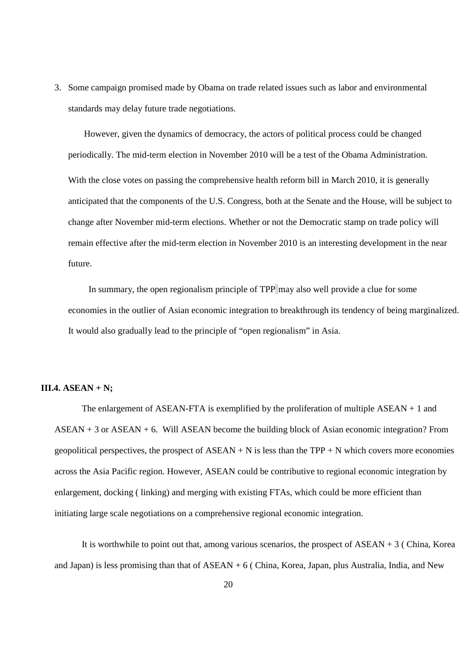3. Some campaign promised made by Obama on trade related issues such as labor and environmental standards may delay future trade negotiations.

 However, given the dynamics of democracy, the actors of political process could be changed periodically. The mid-term election in November 2010 will be a test of the Obama Administration. With the close votes on passing the comprehensive health reform bill in March 2010, it is generally anticipated that the components of the U.S. Congress, both at the Senate and the House, will be subject to change after November mid-term elections. Whether or not the Democratic stamp on trade policy will remain effective after the mid-term election in November 2010 is an interesting development in the near future.

 In summary, the open regionalism principle of TPP may also well provide a clue for some economies in the outlier of Asian economic integration to breakthrough its tendency of being marginalized. It would also gradually lead to the principle of "open regionalism" in Asia.

# **III.4. ASEAN + N;**

The enlargement of ASEAN-FTA is exemplified by the proliferation of multiple ASEAN + 1 and ASEAN + 3 or ASEAN + 6. Will ASEAN become the building block of Asian economic integration? From geopolitical perspectives, the prospect of  $ASEAN + N$  is less than the TPP + N which covers more economies across the Asia Pacific region. However, ASEAN could be contributive to regional economic integration by enlargement, docking ( linking) and merging with existing FTAs, which could be more efficient than initiating large scale negotiations on a comprehensive regional economic integration.

It is worthwhile to point out that, among various scenarios, the prospect of  $ASEAN + 3$  (China, Korea and Japan) is less promising than that of ASEAN + 6 ( China, Korea, Japan, plus Australia, India, and New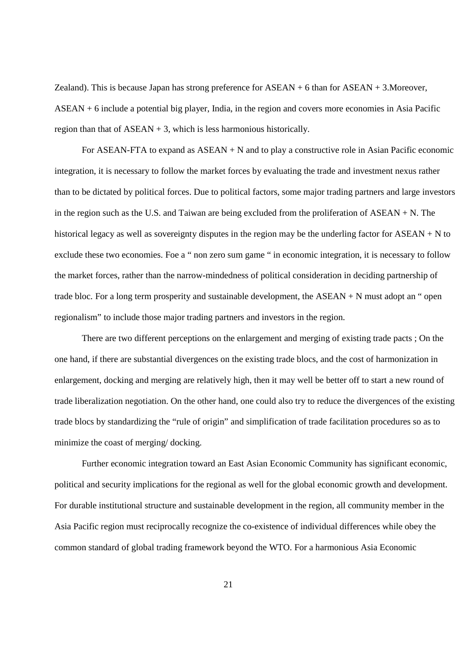Zealand). This is because Japan has strong preference for ASEAN + 6 than for ASEAN + 3.Moreover, ASEAN + 6 include a potential big player, India, in the region and covers more economies in Asia Pacific region than that of  $ASEAN + 3$ , which is less harmonious historically.

For ASEAN-FTA to expand as  $ASEAN + N$  and to play a constructive role in Asian Pacific economic integration, it is necessary to follow the market forces by evaluating the trade and investment nexus rather than to be dictated by political forces. Due to political factors, some major trading partners and large investors in the region such as the U.S. and Taiwan are being excluded from the proliferation of ASEAN + N. The historical legacy as well as sovereignty disputes in the region may be the underling factor for ASEAN + N to exclude these two economies. Foe a " non zero sum game " in economic integration, it is necessary to follow the market forces, rather than the narrow-mindedness of political consideration in deciding partnership of trade bloc. For a long term prosperity and sustainable development, the  $ASEAN + N$  must adopt an " open regionalism" to include those major trading partners and investors in the region.

There are two different perceptions on the enlargement and merging of existing trade pacts ; On the one hand, if there are substantial divergences on the existing trade blocs, and the cost of harmonization in enlargement, docking and merging are relatively high, then it may well be better off to start a new round of trade liberalization negotiation. On the other hand, one could also try to reduce the divergences of the existing trade blocs by standardizing the "rule of origin" and simplification of trade facilitation procedures so as to minimize the coast of merging/ docking.

Further economic integration toward an East Asian Economic Community has significant economic, political and security implications for the regional as well for the global economic growth and development. For durable institutional structure and sustainable development in the region, all community member in the Asia Pacific region must reciprocally recognize the co-existence of individual differences while obey the common standard of global trading framework beyond the WTO. For a harmonious Asia Economic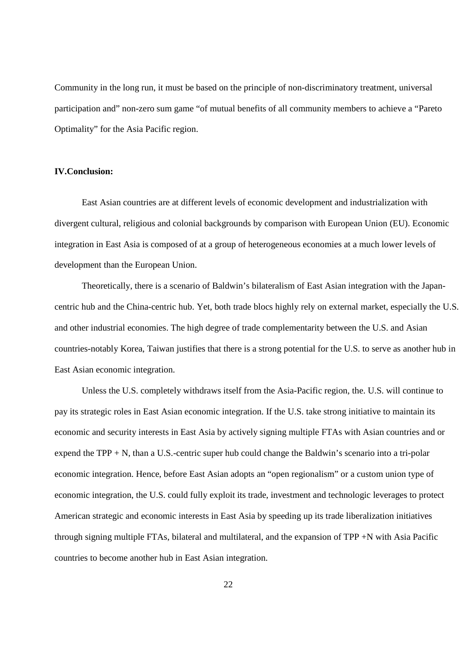Community in the long run, it must be based on the principle of non-discriminatory treatment, universal participation and" non-zero sum game "of mutual benefits of all community members to achieve a "Pareto Optimality" for the Asia Pacific region.

# **IV.Conclusion:**

East Asian countries are at different levels of economic development and industrialization with divergent cultural, religious and colonial backgrounds by comparison with European Union (EU). Economic integration in East Asia is composed of at a group of heterogeneous economies at a much lower levels of development than the European Union.

Theoretically, there is a scenario of Baldwin's bilateralism of East Asian integration with the Japancentric hub and the China-centric hub. Yet, both trade blocs highly rely on external market, especially the U.S. and other industrial economies. The high degree of trade complementarity between the U.S. and Asian countries-notably Korea, Taiwan justifies that there is a strong potential for the U.S. to serve as another hub in East Asian economic integration.

Unless the U.S. completely withdraws itself from the Asia-Pacific region, the. U.S. will continue to pay its strategic roles in East Asian economic integration. If the U.S. take strong initiative to maintain its economic and security interests in East Asia by actively signing multiple FTAs with Asian countries and or expend the TPP + N, than a U.S.-centric super hub could change the Baldwin's scenario into a tri-polar economic integration. Hence, before East Asian adopts an "open regionalism" or a custom union type of economic integration, the U.S. could fully exploit its trade, investment and technologic leverages to protect American strategic and economic interests in East Asia by speeding up its trade liberalization initiatives through signing multiple FTAs, bilateral and multilateral, and the expansion of TPP +N with Asia Pacific countries to become another hub in East Asian integration.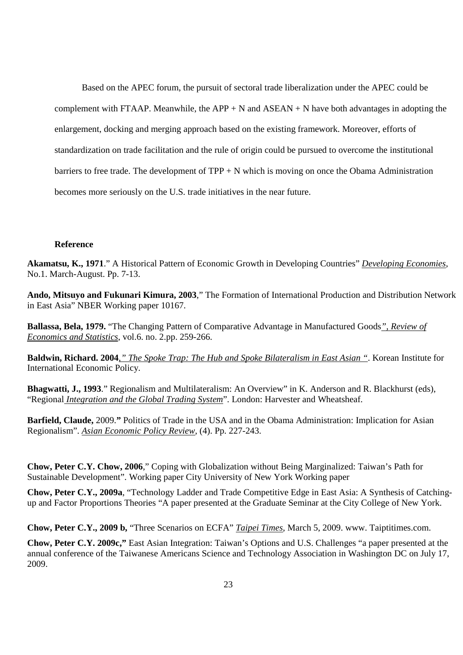Based on the APEC forum, the pursuit of sectoral trade liberalization under the APEC could be complement with FTAAP. Meanwhile, the  $APP + N$  and  $ASEAN + N$  have both advantages in adopting the enlargement, docking and merging approach based on the existing framework. Moreover, efforts of standardization on trade facilitation and the rule of origin could be pursued to overcome the institutional barriers to free trade. The development of  $TPP + N$  which is moving on once the Obama Administration becomes more seriously on the U.S. trade initiatives in the near future.

#### **Reference**

**Akamatsu, K., 1971**." A Historical Pattern of Economic Growth in Developing Countries" *Developing Economies*, No.1. March-August. Pp. 7-13.

**Ando, Mitsuyo and Fukunari Kimura, 2003**," The Formation of International Production and Distribution Network in East Asia" NBER Working paper 10167.

**Ballassa, Bela, 1979.** "The Changing Pattern of Comparative Advantage in Manufactured Goods*", Review of Economics and Statistics*, vol.6. no. 2.pp. 259-266.

**Baldwin, Richard. 2004***," The Spoke Trap: The Hub and Spoke Bilateralism in East Asian "*. Korean Institute for International Economic Policy.

**Bhagwatti, J., 1993**." Regionalism and Multilateralism: An Overview" in K. Anderson and R. Blackhurst (eds), "Regional *Integration and the Global Trading System*". London: Harvester and Wheatsheaf.

**Barfield, Claude,** 2009.**"** Politics of Trade in the USA and in the Obama Administration: Implication for Asian Regionalism". *Asian Economic Policy Review*, (4). Pp. 227-243.

**Chow, Peter C.Y. Chow, 2006**," Coping with Globalization without Being Marginalized: Taiwan's Path for Sustainable Development". Working paper City University of New York Working paper

**Chow, Peter C.Y., 2009a**, "Technology Ladder and Trade Competitive Edge in East Asia: A Synthesis of Catchingup and Factor Proportions Theories "A paper presented at the Graduate Seminar at the City College of New York.

**Chow, Peter C.Y., 2009 b,** "Three Scenarios on ECFA" *Taipei Times*, March 5, 2009. www. Taiptitimes.com.

**Chow, Peter C.Y. 2009c,"** East Asian Integration: Taiwan's Options and U.S. Challenges "a paper presented at the annual conference of the Taiwanese Americans Science and Technology Association in Washington DC on July 17, 2009.